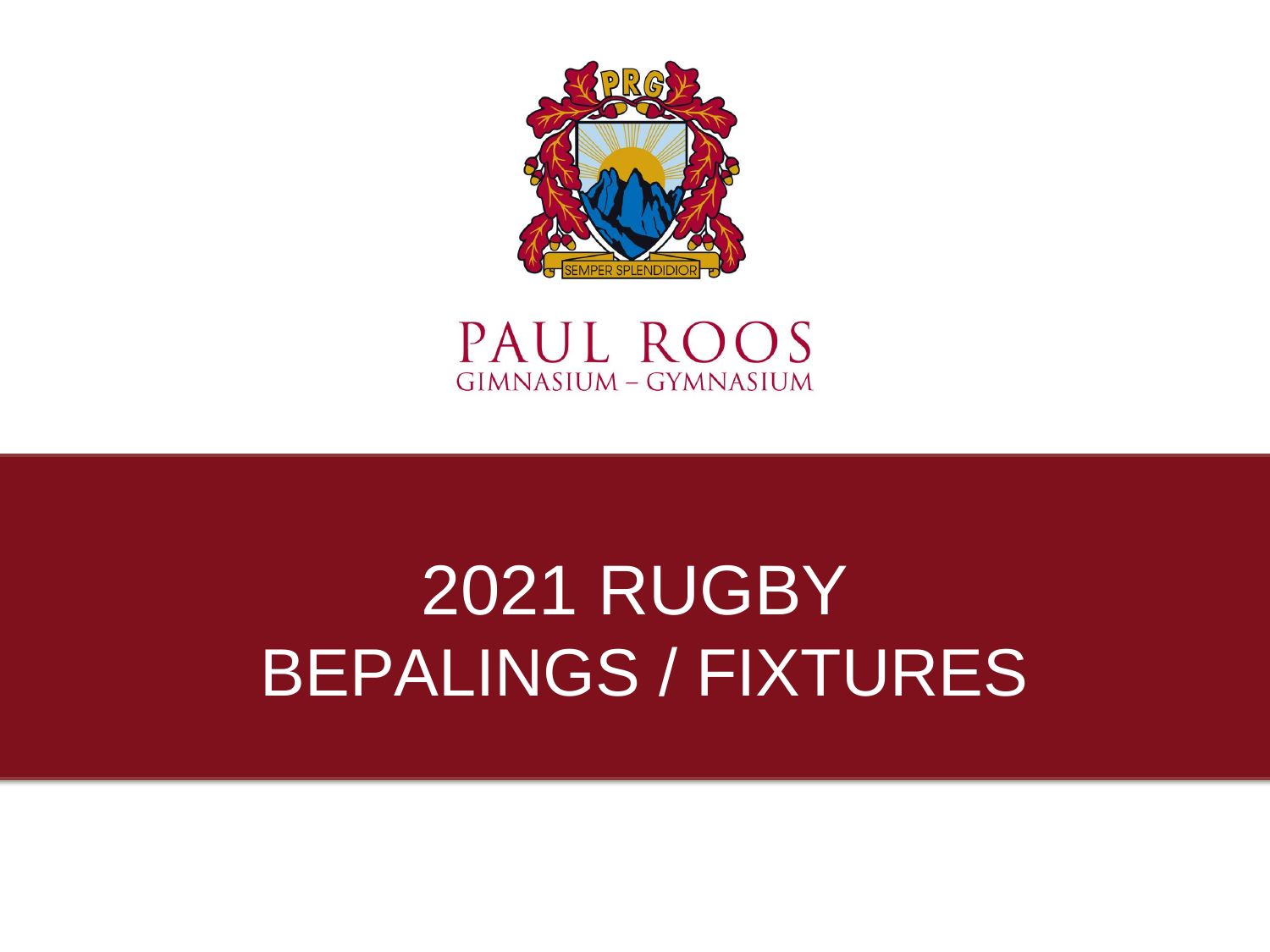



## 2021 RUGBY BEPALINGS / FIXTURES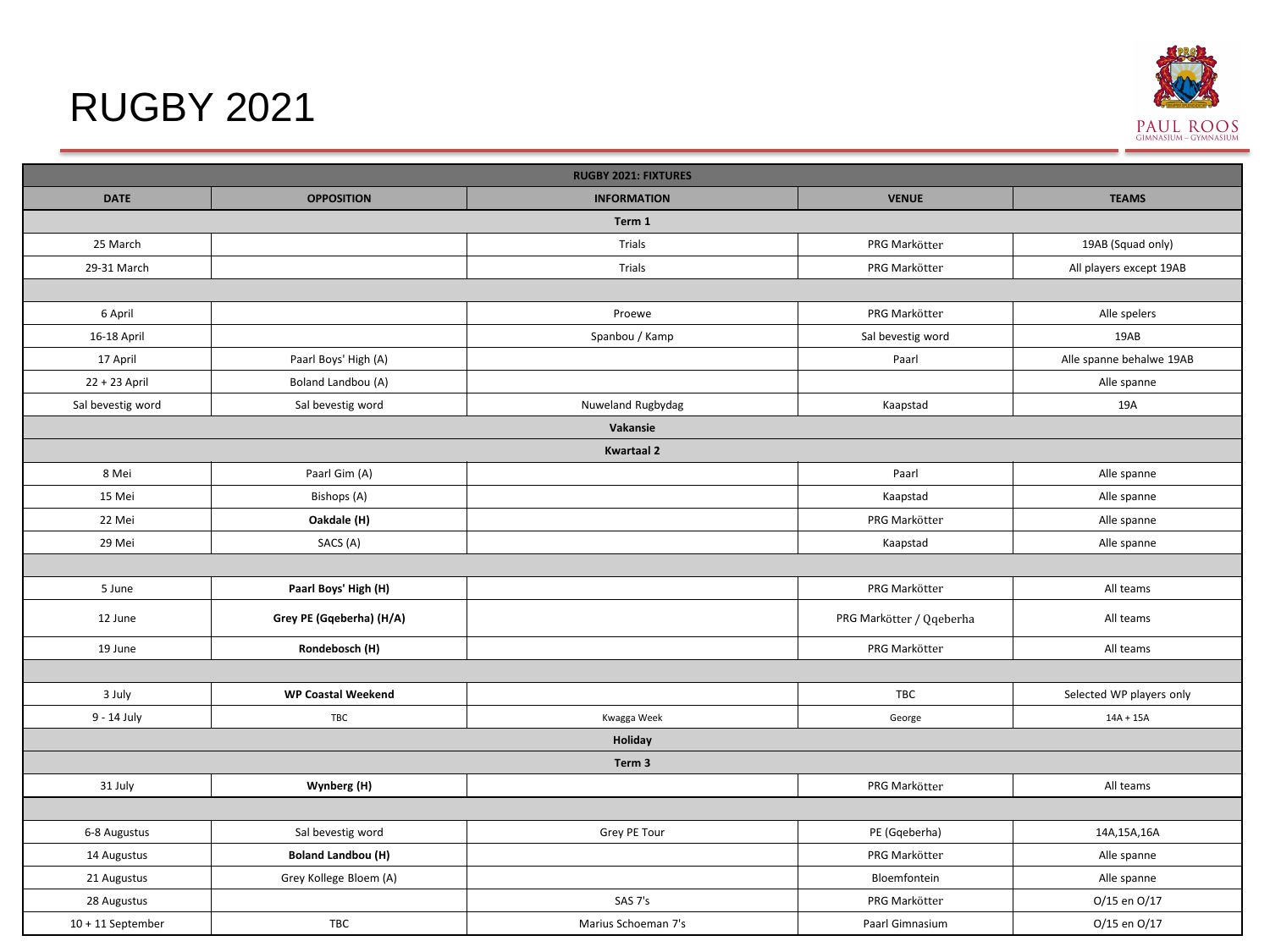### RUGBY 2021



|                     |                           | <b>RUGBY 2021: FIXTURES</b> |                          |                          |
|---------------------|---------------------------|-----------------------------|--------------------------|--------------------------|
| <b>DATE</b>         | <b>OPPOSITION</b>         | <b>INFORMATION</b>          | <b>VENUE</b>             | <b>TEAMS</b>             |
|                     |                           | Term 1                      |                          |                          |
| 25 March            |                           | Trials                      | PRG Markötter            | 19AB (Squad only)        |
| 29-31 March         |                           | Trials                      | PRG Markötter            | All players except 19AB  |
|                     |                           |                             |                          |                          |
| 6 April             |                           | Proewe                      | PRG Markötter            | Alle spelers             |
| 16-18 April         |                           | Spanbou / Kamp              | Sal bevestig word        | 19AB                     |
| 17 April            | Paarl Boys' High (A)      |                             | Paarl                    | Alle spanne behalwe 19AB |
| 22 + 23 April       | Boland Landbou (A)        |                             |                          | Alle spanne              |
| Sal bevestig word   | Sal bevestig word         | Nuweland Rugbydag           | Kaapstad                 | 19A                      |
|                     |                           | Vakansie                    |                          |                          |
|                     |                           | <b>Kwartaal 2</b>           |                          |                          |
| 8 Mei               | Paarl Gim (A)             |                             | Paarl                    | Alle spanne              |
| 15 Mei              | Bishops (A)               |                             | Kaapstad                 | Alle spanne              |
| 22 Mei              | Oakdale (H)               |                             | PRG Markötter            | Alle spanne              |
| 29 Mei              | SACS (A)                  |                             | Kaapstad                 | Alle spanne              |
|                     |                           |                             |                          |                          |
| 5 June              | Paarl Boys' High (H)      |                             | PRG Markötter            | All teams                |
| 12 June             | Grey PE (Gqeberha) (H/A)  |                             | PRG Markötter / Qqeberha | All teams                |
| 19 June             | Rondebosch (H)            |                             | PRG Markötter            | All teams                |
|                     |                           |                             |                          |                          |
| 3 July              | <b>WP Coastal Weekend</b> |                             | TBC                      | Selected WP players only |
| 9 - 14 July         | TBC                       | Kwagga Week                 | George                   | $14A + 15A$              |
|                     |                           | Holiday                     |                          |                          |
|                     |                           | Term 3                      |                          |                          |
| 31 July             | Wynberg (H)               |                             | PRG Markötter            | All teams                |
|                     |                           |                             |                          |                          |
| 6-8 Augustus        | Sal bevestig word         | Grey PE Tour                | PE (Gqeberha)            | 14A,15A,16A              |
| 14 Augustus         | <b>Boland Landbou (H)</b> |                             | PRG Markötter            | Alle spanne              |
| 21 Augustus         | Grey Kollege Bloem (A)    |                             | Bloemfontein             | Alle spanne              |
| 28 Augustus         |                           | SAS 7's                     | PRG Markötter            | 0/15 en 0/17             |
| $10 + 11$ September | TBC                       | Marius Schoeman 7's         | Paarl Gimnasium          | 0/15 en 0/17             |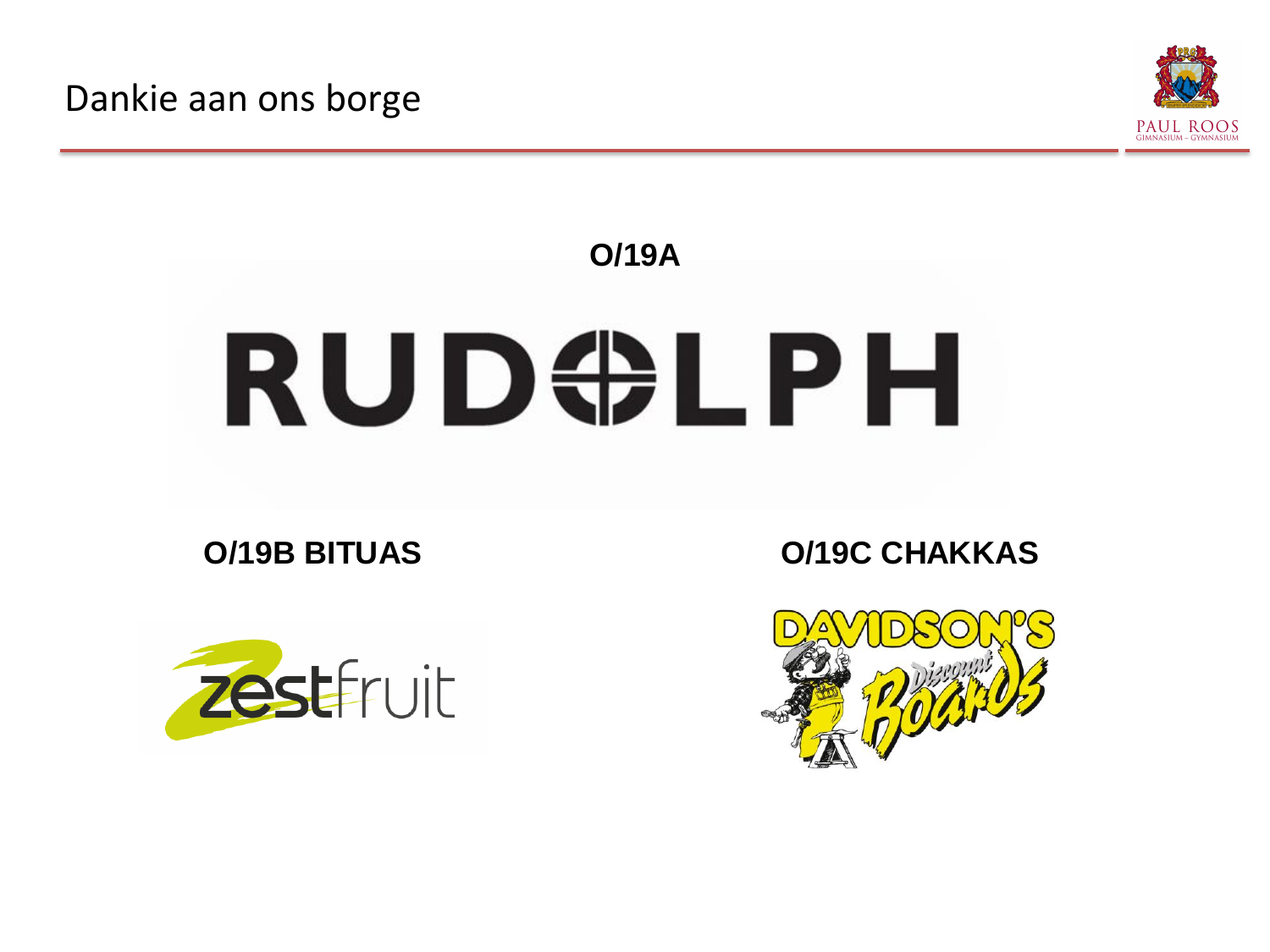Dankie aan ons borge



# **O/19A** RUD#LPH





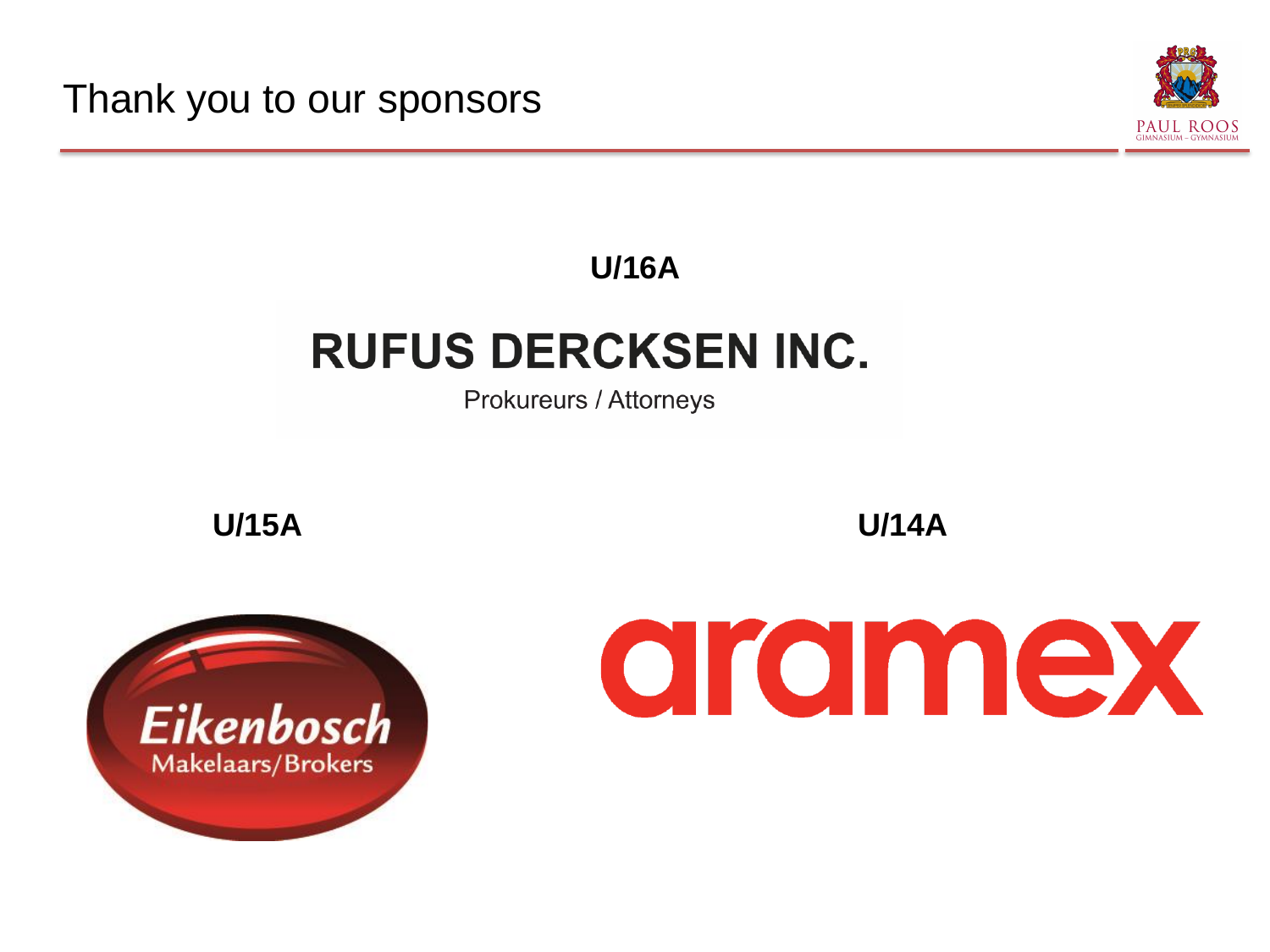Thank you to our sponsors



#### **U/16A**

## **RUFUS DERCKSEN INC.**

Prokureurs / Attorneys

**U/15A U/14A**